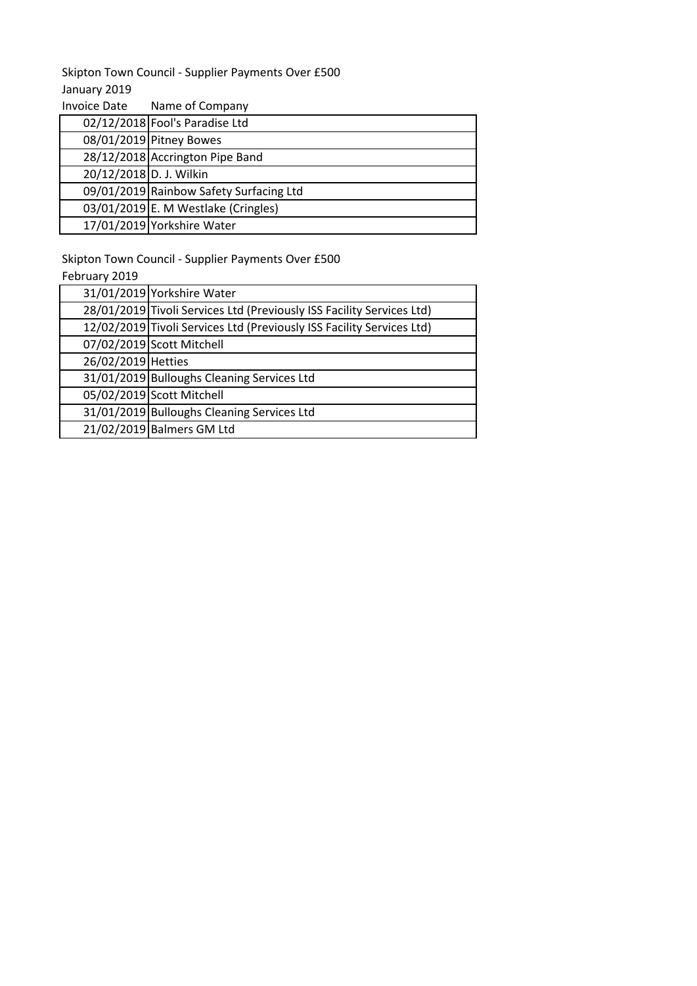## January 2019 Skipton Town Council - Supplier Payments Over £500

| <b>Invoice Date</b>     | Name of Company                         |
|-------------------------|-----------------------------------------|
|                         | 02/12/2018 Fool's Paradise Ltd          |
|                         | 08/01/2019 Pitney Bowes                 |
|                         | 28/12/2018 Accrington Pipe Band         |
| 20/12/2018 D. J. Wilkin |                                         |
|                         | 09/01/2019 Rainbow Safety Surfacing Ltd |
|                         | $03/01/2019$ E. M Westlake (Cringles)   |
|                         | 17/01/2019 Yorkshire Water              |

Skipton Town Council - Supplier Payments Over £500

February 2019

| .                  |                                                                       |
|--------------------|-----------------------------------------------------------------------|
|                    | 31/01/2019 Yorkshire Water                                            |
|                    | 28/01/2019 Tivoli Services Ltd (Previously ISS Facility Services Ltd) |
|                    | 12/02/2019 Tivoli Services Ltd (Previously ISS Facility Services Ltd) |
|                    | 07/02/2019 Scott Mitchell                                             |
| 26/02/2019 Hetties |                                                                       |
|                    | 31/01/2019 Bulloughs Cleaning Services Ltd                            |
|                    | 05/02/2019 Scott Mitchell                                             |
|                    | 31/01/2019 Bulloughs Cleaning Services Ltd                            |
|                    | 21/02/2019 Balmers GM Ltd                                             |
|                    |                                                                       |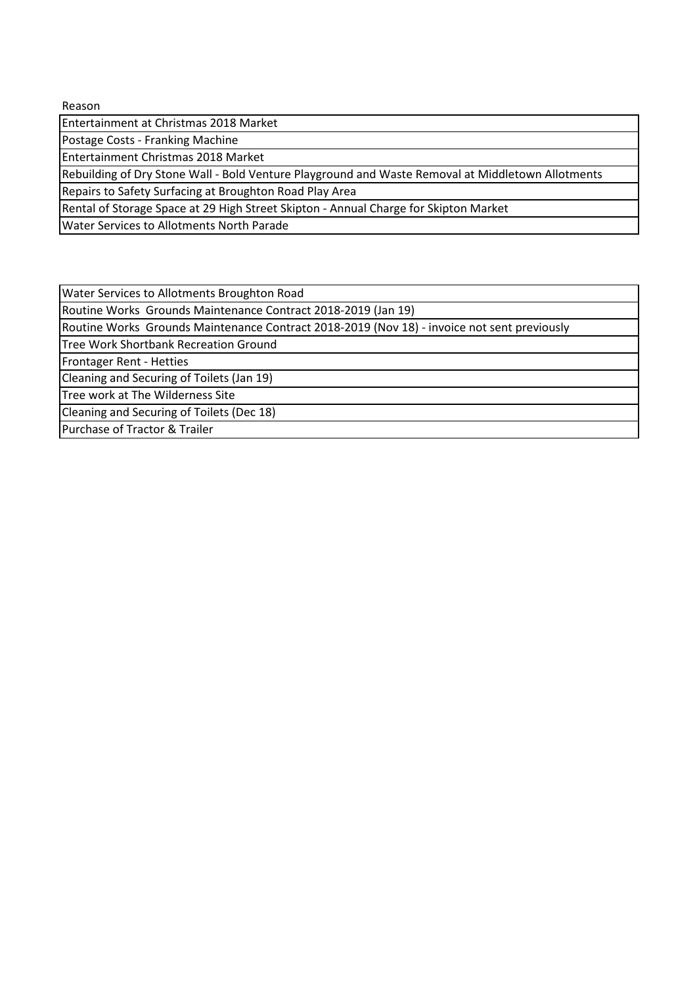Reason

Entertainment at Christmas 2018 Market

Postage Costs - Franking Machine

Entertainment Christmas 2018 Market

Rebuilding of Dry Stone Wall - Bold Venture Playground and Waste Removal at Middletown Allotments

Repairs to Safety Surfacing at Broughton Road Play Area

Rental of Storage Space at 29 High Street Skipton - Annual Charge for Skipton Market

Water Services to Allotments North Parade

Water Services to Allotments Broughton Road

Routine Works Grounds Maintenance Contract 2018-2019 (Jan 19)

Routine Works Grounds Maintenance Contract 2018-2019 (Nov 18) - invoice not sent previously

Tree Work Shortbank Recreation Ground

Frontager Rent - Hetties

Cleaning and Securing of Toilets (Jan 19)

Tree work at The Wilderness Site

Cleaning and Securing of Toilets (Dec 18)

Purchase of Tractor & Trailer